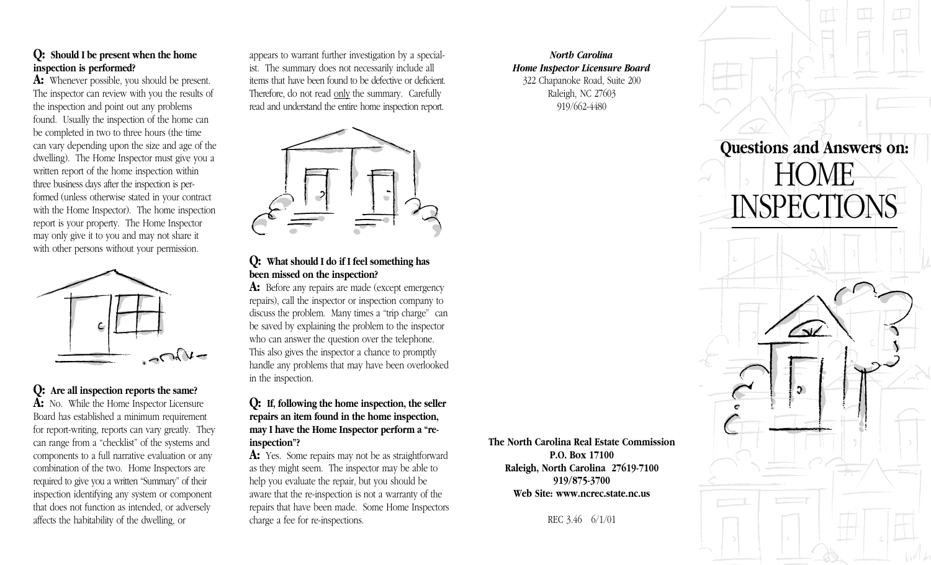## **Q: Should I be present when the home inspection is performed?**

**A:** Whenever possible, you should be present. The inspector can review with you the results of the inspection and point out any problems found. Usually the inspection of the home can be completed in two to three hours (the time can vary depending upon the size and age of the dwelling). The Home Inspector must give you a written report of the home inspection within three business days after the inspection is performed (unless otherwise stated in your contract with the Home Inspector). The home inspection report is your property. The Home Inspector may only give it to you and may not share it with other persons without your permission.



# **Q: Are all inspection reports the same?**

**A:** No. While the Home Inspector Licensure Board has established a minimum requirement for report-writing, reports can vary greatly. They can range from a "checklist" of the systems and components to a full narrative evaluation or any combination of the two. Home Inspectors are required to give you a written "Summary" of their inspection identifying any system or component that does not function as intended, or adversely affects the habitability of the dwelling, or

appears to warrant further investigation by a specialist. The summary does not necessarily include all items that have been found to be defective or deficient. Therefore, do not read only the summary. Carefully read and understand the entire home inspection report.



## **Q: What should I do if I feel something has been missed on the inspection?**

A: Before any repairs are made (except emergency repairs), call the inspector or inspection company to discuss the problem. Many times a "trip charge" can be saved by explaining the problem to the inspector who can answer the question over the telephone. This also gives the inspector a chance to promptly handle any problems that may have been overlooked in the inspection.

#### **Q: If, following the home inspection, the seller repairs an item found in the home inspection, may I have the Home Inspector perform a "reinspection"?**

A: Yes. Some repairs may not be as straightforward as they might seem. The inspector may be able to help you evaluate the repair, but you should be aware that the re-inspection is not a warranty of the repairs that have been made. Some Home Inspectors charge a fee for re-inspections.

*North Carolina Home Inspector Licensure Board* 322 Chapanoke Road, Suite 200 Raleigh, NC 27603 919/662-4480

**P.O. Box 17100 Raleigh, North Carolina 27619-7100 919/875-3700 Web Site: www.ncrec.state.nc.us**

REC 3.46 6/1/01

 $\overline{\mathbf{v}}$  $\mathfrak{S}^-$ **The North Carolina Real Estate Commission**

**Questions and Answers on:**

**DME** 

**ISPECTIONS**